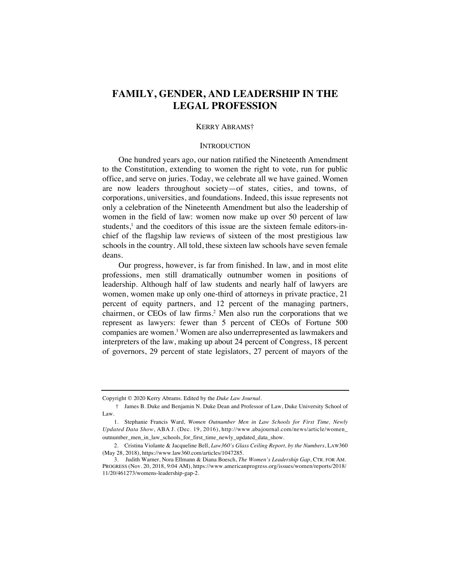# **FAMILY, GENDER, AND LEADERSHIP IN THE LEGAL PROFESSION**

### KERRY ABRAMS†

### **INTRODUCTION**

One hundred years ago, our nation ratified the Nineteenth Amendment to the Constitution, extending to women the right to vote, run for public office, and serve on juries. Today, we celebrate all we have gained. Women are now leaders throughout society—of states, cities, and towns, of corporations, universities, and foundations. Indeed, this issue represents not only a celebration of the Nineteenth Amendment but also the leadership of women in the field of law: women now make up over 50 percent of law students, $<sup>1</sup>$  and the coeditors of this issue are the sixteen female editors-in-</sup> chief of the flagship law reviews of sixteen of the most prestigious law schools in the country. All told, these sixteen law schools have seven female deans.

Our progress, however, is far from finished. In law, and in most elite professions, men still dramatically outnumber women in positions of leadership. Although half of law students and nearly half of lawyers are women, women make up only one-third of attorneys in private practice, 21 percent of equity partners, and 12 percent of the managing partners, chairmen, or CEOs of law firms.<sup>2</sup> Men also run the corporations that we represent as lawyers: fewer than 5 percent of CEOs of Fortune 500 companies are women.3 Women are also underrepresented as lawmakers and interpreters of the law, making up about 24 percent of Congress, 18 percent of governors, 29 percent of state legislators, 27 percent of mayors of the

Copyright © 2020 Kerry Abrams. Edited by the *Duke Law Journal*.

<sup>†</sup> James B. Duke and Benjamin N. Duke Dean and Professor of Law, Duke University School of Law.

<sup>1.</sup> Stephanie Francis Ward, *Women Outnumber Men in Law Schools for First Time, Newly Updated Data Show*, ABA J. (Dec. 19, 2016), http://www.abajournal.com/news/article/women\_ outnumber\_men\_in\_law\_schools\_for\_first\_time\_newly\_updated\_data\_show.

<sup>2.</sup> Cristina Violante & Jacqueline Bell, *Law360's Glass Ceiling Report, by the Numbers*, LAW360 (May 28, 2018), https://www.law360.com/articles/1047285.

<sup>3.</sup> Judith Warner, Nora Ellmann & Diana Boesch, *The Women's Leadership Gap*, CTR. FOR AM. PROGRESS (Nov. 20, 2018, 9:04 AM), https://www.americanprogress.org/issues/women/reports/2018/ 11/20/461273/womens-leadership-gap-2.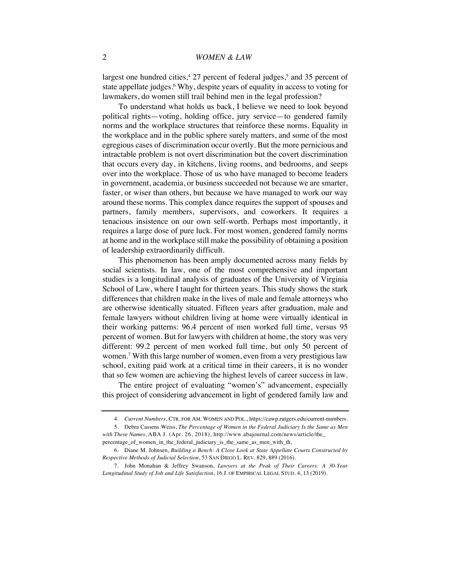largest one hundred cities,<sup>4</sup> 27 percent of federal judges,<sup>5</sup> and 35 percent of state appellate judges.<sup>6</sup> Why, despite years of equality in access to voting for lawmakers, do women still trail behind men in the legal profession?

To understand what holds us back, I believe we need to look beyond political rights—voting, holding office, jury service—to gendered family norms and the workplace structures that reinforce these norms. Equality in the workplace and in the public sphere surely matters, and some of the most egregious cases of discrimination occur overtly. But the more pernicious and intractable problem is not overt discrimination but the covert discrimination that occurs every day, in kitchens, living rooms, and bedrooms, and seeps over into the workplace. Those of us who have managed to become leaders in government, academia, or business succeeded not because we are smarter, faster, or wiser than others, but because we have managed to work our way around these norms. This complex dance requires the support of spouses and partners, family members, supervisors, and coworkers. It requires a tenacious insistence on our own self-worth. Perhaps most importantly, it requires a large dose of pure luck. For most women, gendered family norms at home and in the workplace still make the possibility of obtaining a position of leadership extraordinarily difficult.

This phenomenon has been amply documented across many fields by social scientists. In law, one of the most comprehensive and important studies is a longitudinal analysis of graduates of the University of Virginia School of Law, where I taught for thirteen years. This study shows the stark differences that children make in the lives of male and female attorneys who are otherwise identically situated. Fifteen years after graduation, male and female lawyers without children living at home were virtually identical in their working patterns: 96.4 percent of men worked full time, versus 95 percent of women. But for lawyers with children at home, the story was very different: 99.2 percent of men worked full time, but only 50 percent of women.7 With this large number of women, even from a very prestigious law school, exiting paid work at a critical time in their careers, it is no wonder that so few women are achieving the highest levels of career success in law.

The entire project of evaluating "women's" advancement, especially this project of considering advancement in light of gendered family law and

<sup>4.</sup> *Current Numbers*, CTR. FOR AM. WOMEN AND POL., https://cawp.rutgers.edu/current-numbers.

<sup>5.</sup> Debra Cassens Weiss, *The Percentage of Women in the Federal Judiciary Is the Same as Men with These Names*, ABA J. (Apr. 26, 2018), http://www.abajournal.com/news/article/the\_ percentage\_of\_women\_in\_the\_federal\_judiciary\_is\_the\_same\_as\_men\_with\_th.

<sup>6.</sup> Diane M. Johnsen, *Building a Bench: A Close Look at State Appellate Courts Constructed by Respective Methods of Judicial Selection*, 53 SAN DIEGO L. REV. 829, 889 (2016).

<sup>7.</sup> John Monahan & Jeffrey Swanson, *Lawyers at the Peak of Their Careers: A 30-Year Longitudinal Study of Job and Life Satisfaction*, 16 J. OF EMPIRICAL LEGAL STUD. 4, 13 (2019).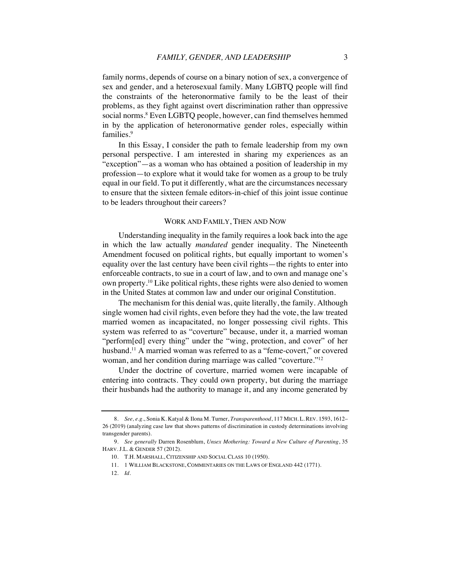family norms, depends of course on a binary notion of sex, a convergence of sex and gender, and a heterosexual family. Many LGBTQ people will find the constraints of the heteronormative family to be the least of their problems, as they fight against overt discrimination rather than oppressive social norms.<sup>8</sup> Even LGBTQ people, however, can find themselves hemmed in by the application of heteronormative gender roles, especially within families.<sup>9</sup>

In this Essay, I consider the path to female leadership from my own personal perspective. I am interested in sharing my experiences as an "exception"—as a woman who has obtained a position of leadership in my profession—to explore what it would take for women as a group to be truly equal in our field. To put it differently, what are the circumstances necessary to ensure that the sixteen female editors-in-chief of this joint issue continue to be leaders throughout their careers?

#### WORK AND FAMILY, THEN AND NOW

Understanding inequality in the family requires a look back into the age in which the law actually *mandated* gender inequality. The Nineteenth Amendment focused on political rights, but equally important to women's equality over the last century have been civil rights—the rights to enter into enforceable contracts, to sue in a court of law, and to own and manage one's own property.10 Like political rights, these rights were also denied to women in the United States at common law and under our original Constitution.

The mechanism for this denial was, quite literally, the family. Although single women had civil rights, even before they had the vote, the law treated married women as incapacitated, no longer possessing civil rights. This system was referred to as "coverture" because, under it, a married woman "perform[ed] every thing" under the "wing, protection, and cover" of her husband.<sup>11</sup> A married woman was referred to as a "feme-covert," or covered woman, and her condition during marriage was called "coverture."12

Under the doctrine of coverture, married women were incapable of entering into contracts. They could own property, but during the marriage their husbands had the authority to manage it, and any income generated by

<sup>8.</sup> *See, e.g.*, Sonia K. Katyal & Ilona M. Turner, *Transparenthood*, 117 MICH. L. REV. 1593, 1612– 26 (2019) (analyzing case law that shows patterns of discrimination in custody determinations involving transgender parents).

<sup>9.</sup> *See generally* Darren Rosenblum, *Unsex Mothering: Toward a New Culture of Parenting*, 35 HARV. J.L. & GENDER 57 (2012).

<sup>10.</sup> T.H. MARSHALL, CITIZENSHIP AND SOCIAL CLASS 10 (1950).

<sup>11.</sup> 1 WILLIAM BLACKSTONE, COMMENTARIES ON THE LAWS OF ENGLAND 442 (1771).

<sup>12.</sup> *Id.*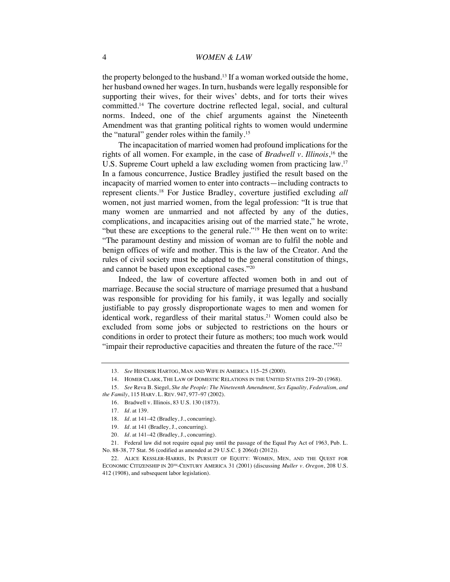the property belonged to the husband.<sup>13</sup> If a woman worked outside the home, her husband owned her wages. In turn, husbands were legally responsible for supporting their wives, for their wives' debts, and for torts their wives committed.14 The coverture doctrine reflected legal, social, and cultural norms. Indeed, one of the chief arguments against the Nineteenth Amendment was that granting political rights to women would undermine the "natural" gender roles within the family.15

The incapacitation of married women had profound implications for the rights of all women. For example, in the case of *Bradwell v. Illinois*, <sup>16</sup> the U.S. Supreme Court upheld a law excluding women from practicing law.17 In a famous concurrence, Justice Bradley justified the result based on the incapacity of married women to enter into contracts—including contracts to represent clients.18 For Justice Bradley, coverture justified excluding *all*  women, not just married women, from the legal profession: "It is true that many women are unmarried and not affected by any of the duties, complications, and incapacities arising out of the married state," he wrote, "but these are exceptions to the general rule."19 He then went on to write: "The paramount destiny and mission of woman are to fulfil the noble and benign offices of wife and mother. This is the law of the Creator. And the rules of civil society must be adapted to the general constitution of things, and cannot be based upon exceptional cases."20

Indeed, the law of coverture affected women both in and out of marriage. Because the social structure of marriage presumed that a husband was responsible for providing for his family, it was legally and socially justifiable to pay grossly disproportionate wages to men and women for identical work, regardless of their marital status.<sup>21</sup> Women could also be excluded from some jobs or subjected to restrictions on the hours or conditions in order to protect their future as mothers; too much work would "impair their reproductive capacities and threaten the future of the race."<sup>22</sup>

<sup>13.</sup> *See* HENDRIK HARTOG, MAN AND WIFE IN AMERICA 115–25 (2000).

<sup>14.</sup> HOMER CLARK, THE LAW OF DOMESTIC RELATIONS IN THE UNITED STATES 219–20 (1968).

<sup>15.</sup> *See* Reva B. Siegel, *She the People: The Nineteenth Amendment, Sex Equality, Federalism, and the Family*, 115 HARV. L. REV. 947, 977–97 (2002).

<sup>16.</sup> Bradwell v. Illinois, 83 U.S. 130 (1873).

<sup>17.</sup> *Id.* at 139.

<sup>18.</sup> *Id.* at 141–42 (Bradley, J., concurring).

<sup>19.</sup> *Id.* at 141 (Bradley, J., concurring).

<sup>20.</sup> *Id.* at 141–42 (Bradley, J., concurring).

<sup>21.</sup> Federal law did not require equal pay until the passage of the Equal Pay Act of 1963, Pub. L. No. 88-38, 77 Stat. 56 (codified as amended at 29 U.S.C. § 206(d) (2012)).

<sup>22.</sup> ALICE KESSLER-HARRIS, IN PURSUIT OF EQUITY: WOMEN, MEN, AND THE QUEST FOR ECONOMIC CITIZENSHIP IN 20TH-CENTURY AMERICA 31 (2001) (discussing *Muller v. Oregon*, 208 U.S. 412 (1908), and subsequent labor legislation).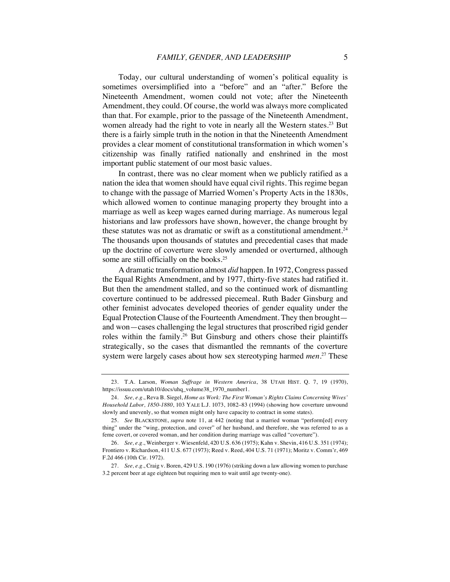Today, our cultural understanding of women's political equality is sometimes oversimplified into a "before" and an "after." Before the Nineteenth Amendment, women could not vote; after the Nineteenth Amendment, they could. Of course, the world was always more complicated than that. For example, prior to the passage of the Nineteenth Amendment, women already had the right to vote in nearly all the Western states.<sup>23</sup> But there is a fairly simple truth in the notion in that the Nineteenth Amendment provides a clear moment of constitutional transformation in which women's citizenship was finally ratified nationally and enshrined in the most important public statement of our most basic values.

In contrast, there was no clear moment when we publicly ratified as a nation the idea that women should have equal civil rights. This regime began to change with the passage of Married Women's Property Acts in the 1830s, which allowed women to continue managing property they brought into a marriage as well as keep wages earned during marriage. As numerous legal historians and law professors have shown, however, the change brought by these statutes was not as dramatic or swift as a constitutional amendment.<sup>24</sup> The thousands upon thousands of statutes and precedential cases that made up the doctrine of coverture were slowly amended or overturned, although some are still officially on the books.<sup>25</sup>

A dramatic transformation almost *did* happen. In 1972, Congress passed the Equal Rights Amendment, and by 1977, thirty-five states had ratified it. But then the amendment stalled, and so the continued work of dismantling coverture continued to be addressed piecemeal. Ruth Bader Ginsburg and other feminist advocates developed theories of gender equality under the Equal Protection Clause of the Fourteenth Amendment. They then brought and won—cases challenging the legal structures that proscribed rigid gender roles within the family.26 But Ginsburg and others chose their plaintiffs strategically, so the cases that dismantled the remnants of the coverture system were largely cases about how sex stereotyping harmed *men*. <sup>27</sup> These

<sup>23.</sup> T.A. Larson, *Woman Suffrage in Western America*, 38 UTAH HIST. Q. 7, 19 (1970), https://issuu.com/utah10/docs/uhq\_volume38\_1970\_number1.

<sup>24.</sup> *See, e.g.*, Reva B. Siegel, *Home as Work: The First Woman's Rights Claims Concerning Wives' Household Labor, 1850-1880*, 103 YALE L.J. 1073, 1082–83 (1994) (showing how coverture unwound slowly and unevenly, so that women might only have capacity to contract in some states).

<sup>25.</sup> *See* BLACKSTONE, *supra* note 11, at 442 (noting that a married woman "perform[ed] every thing" under the "wing, protection, and cover" of her husband, and therefore, she was referred to as a feme covert, or covered woman, and her condition during marriage was called "coverture").

<sup>26.</sup> *See, e.g.*, Weinberger v. Wiesenfeld, 420 U.S. 636 (1975); Kahn v. Shevin, 416 U.S. 351 (1974); Frontiero v. Richardson, 411 U.S. 677 (1973); Reed v. Reed, 404 U.S. 71 (1971); Moritz v. Comm'r, 469 F.2d 466 (10th Cir. 1972).

<sup>27.</sup> *See, e.g.*, Craig v. Boren, 429 U.S. 190 (1976) (striking down a law allowing women to purchase 3.2 percent beer at age eighteen but requiring men to wait until age twenty-one).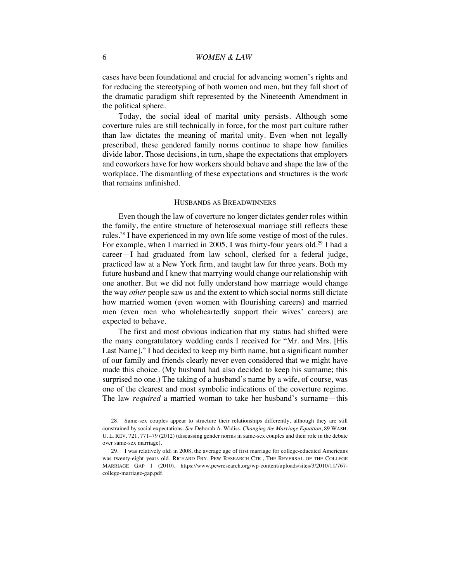cases have been foundational and crucial for advancing women's rights and for reducing the stereotyping of both women and men, but they fall short of the dramatic paradigm shift represented by the Nineteenth Amendment in the political sphere.

Today, the social ideal of marital unity persists. Although some coverture rules are still technically in force, for the most part culture rather than law dictates the meaning of marital unity. Even when not legally prescribed, these gendered family norms continue to shape how families divide labor. Those decisions, in turn, shape the expectations that employers and coworkers have for how workers should behave and shape the law of the workplace. The dismantling of these expectations and structures is the work that remains unfinished.

### HUSBANDS AS BREADWINNERS

Even though the law of coverture no longer dictates gender roles within the family, the entire structure of heterosexual marriage still reflects these rules.28 I have experienced in my own life some vestige of most of the rules. For example, when I married in 2005, I was thirty-four years old.<sup>29</sup> I had a career—I had graduated from law school, clerked for a federal judge, practiced law at a New York firm, and taught law for three years. Both my future husband and I knew that marrying would change our relationship with one another. But we did not fully understand how marriage would change the way *other* people saw us and the extent to which social norms still dictate how married women (even women with flourishing careers) and married men (even men who wholeheartedly support their wives' careers) are expected to behave.

The first and most obvious indication that my status had shifted were the many congratulatory wedding cards I received for "Mr. and Mrs. [His Last Name]." I had decided to keep my birth name, but a significant number of our family and friends clearly never even considered that we might have made this choice. (My husband had also decided to keep his surname; this surprised no one.) The taking of a husband's name by a wife, of course, was one of the clearest and most symbolic indications of the coverture regime. The law *required* a married woman to take her husband's surname—this

<sup>28.</sup> Same-sex couples appear to structure their relationships differently, although they are still constrained by social expectations. *See* Deborah A. Widiss, *Changing the Marriage Equation*, 89 WASH. U. L. REV. 721, 771–79 (2012) (discussing gender norms in same-sex couples and their role in the debate over same-sex marriage).

<sup>29.</sup> I was relatively old; in 2008, the average age of first marriage for college-educated Americans was twenty-eight years old. RICHARD FRY, PEW RESEARCH CTR., THE REVERSAL OF THE COLLEGE MARRIAGE GAP 1 (2010), https://www.pewresearch.org/wp-content/uploads/sites/3/2010/11/767 college-marriage-gap.pdf.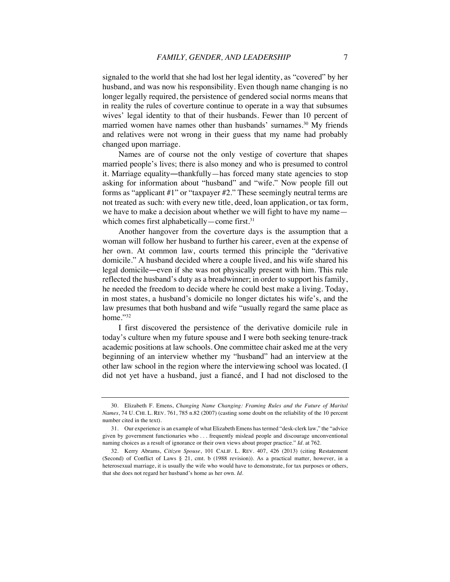signaled to the world that she had lost her legal identity, as "covered" by her husband, and was now his responsibility. Even though name changing is no longer legally required, the persistence of gendered social norms means that in reality the rules of coverture continue to operate in a way that subsumes wives' legal identity to that of their husbands. Fewer than 10 percent of married women have names other than husbands' surnames.<sup>30</sup> My friends and relatives were not wrong in their guess that my name had probably changed upon marriage.

Names are of course not the only vestige of coverture that shapes married people's lives; there is also money and who is presumed to control it. Marriage equality—thankfully—has forced many state agencies to stop asking for information about "husband" and "wife." Now people fill out forms as "applicant #1" or "taxpayer #2." These seemingly neutral terms are not treated as such: with every new title, deed, loan application, or tax form, we have to make a decision about whether we will fight to have my name which comes first alphabetically—come first. $31$ 

Another hangover from the coverture days is the assumption that a woman will follow her husband to further his career, even at the expense of her own. At common law, courts termed this principle the "derivative domicile." A husband decided where a couple lived, and his wife shared his legal domicile―even if she was not physically present with him. This rule reflected the husband's duty as a breadwinner; in order to support his family, he needed the freedom to decide where he could best make a living. Today, in most states, a husband's domicile no longer dictates his wife's, and the law presumes that both husband and wife "usually regard the same place as home."32

I first discovered the persistence of the derivative domicile rule in today's culture when my future spouse and I were both seeking tenure-track academic positions at law schools. One committee chair asked me at the very beginning of an interview whether my "husband" had an interview at the other law school in the region where the interviewing school was located. (I did not yet have a husband, just a fiancé, and I had not disclosed to the

<sup>30.</sup> Elizabeth F. Emens, *Changing Name Changing: Framing Rules and the Future of Marital Names*, 74 U. CHI. L. REV. 761, 785 n.82 (2007) (casting some doubt on the reliability of the 10 percent number cited in the text).

<sup>31.</sup> Our experience is an example of what Elizabeth Emens has termed "desk-clerk law," the "advice given by government functionaries who . . . frequently mislead people and discourage unconventional naming choices as a result of ignorance or their own views about proper practice." *Id.* at 762.

<sup>32.</sup> Kerry Abrams, *Citizen Spouse*, 101 CALIF. L. REV. 407, 426 (2013) (citing Restatement (Second) of Conflict of Laws § 21, cmt. b (1988 revision)). As a practical matter, however, in a heterosexual marriage, it is usually the wife who would have to demonstrate, for tax purposes or others, that she does not regard her husband's home as her own. *Id.*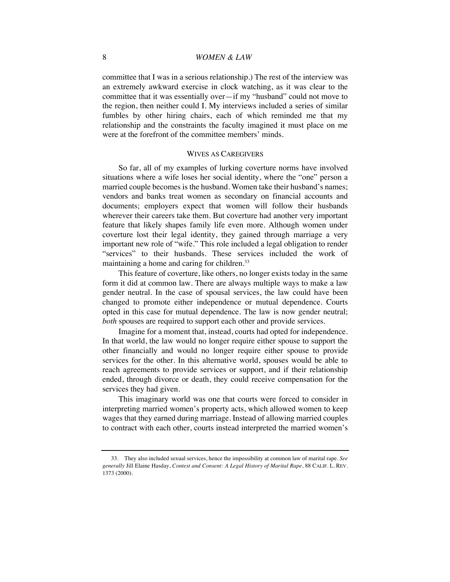committee that I was in a serious relationship.) The rest of the interview was an extremely awkward exercise in clock watching, as it was clear to the committee that it was essentially over—if my "husband" could not move to the region, then neither could I. My interviews included a series of similar fumbles by other hiring chairs, each of which reminded me that my relationship and the constraints the faculty imagined it must place on me were at the forefront of the committee members' minds.

## WIVES AS CAREGIVERS

So far, all of my examples of lurking coverture norms have involved situations where a wife loses her social identity, where the "one" person a married couple becomes is the husband. Women take their husband's names; vendors and banks treat women as secondary on financial accounts and documents; employers expect that women will follow their husbands wherever their careers take them. But coverture had another very important feature that likely shapes family life even more. Although women under coverture lost their legal identity, they gained through marriage a very important new role of "wife." This role included a legal obligation to render "services" to their husbands. These services included the work of maintaining a home and caring for children.<sup>33</sup>

This feature of coverture, like others, no longer exists today in the same form it did at common law. There are always multiple ways to make a law gender neutral. In the case of spousal services, the law could have been changed to promote either independence or mutual dependence. Courts opted in this case for mutual dependence. The law is now gender neutral; *both* spouses are required to support each other and provide services.

Imagine for a moment that, instead, courts had opted for independence. In that world, the law would no longer require either spouse to support the other financially and would no longer require either spouse to provide services for the other. In this alternative world, spouses would be able to reach agreements to provide services or support, and if their relationship ended, through divorce or death, they could receive compensation for the services they had given.

This imaginary world was one that courts were forced to consider in interpreting married women's property acts, which allowed women to keep wages that they earned during marriage. Instead of allowing married couples to contract with each other, courts instead interpreted the married women's

<sup>33.</sup> They also included sexual services, hence the impossibility at common law of marital rape. *See generally* Jill Elaine Hasday, *Contest and Consent: A Legal History of Marital Rape*, 88 CALIF. L. REV. 1373 (2000).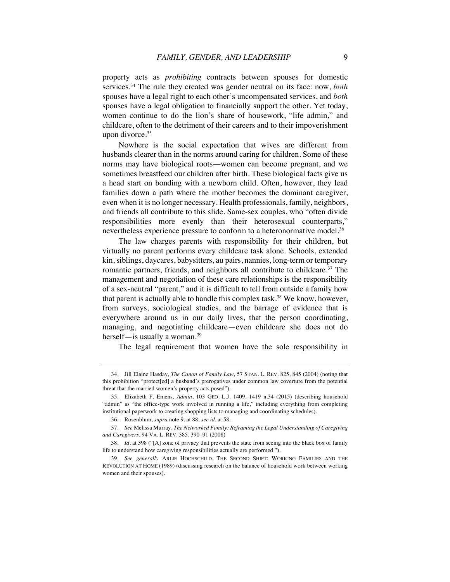property acts as *prohibiting* contracts between spouses for domestic services.34 The rule they created was gender neutral on its face: now, *both*  spouses have a legal right to each other's uncompensated services, and *both*  spouses have a legal obligation to financially support the other. Yet today, women continue to do the lion's share of housework, "life admin," and childcare, often to the detriment of their careers and to their impoverishment upon divorce.<sup>35</sup>

Nowhere is the social expectation that wives are different from husbands clearer than in the norms around caring for children. Some of these norms may have biological roots―women can become pregnant, and we sometimes breastfeed our children after birth. These biological facts give us a head start on bonding with a newborn child. Often, however, they lead families down a path where the mother becomes the dominant caregiver, even when it is no longer necessary. Health professionals, family, neighbors, and friends all contribute to this slide. Same-sex couples, who "often divide responsibilities more evenly than their heterosexual counterparts," nevertheless experience pressure to conform to a heteronormative model.<sup>36</sup>

The law charges parents with responsibility for their children, but virtually no parent performs every childcare task alone. Schools, extended kin, siblings, daycares, babysitters, au pairs, nannies, long-term or temporary romantic partners, friends, and neighbors all contribute to childcare.<sup>37</sup> The management and negotiation of these care relationships is the responsibility of a sex-neutral "parent," and it is difficult to tell from outside a family how that parent is actually able to handle this complex task.38 We know, however, from surveys, sociological studies, and the barrage of evidence that is everywhere around us in our daily lives, that the person coordinating, managing, and negotiating childcare—even childcare she does not do herself—is usually a woman.<sup>39</sup>

The legal requirement that women have the sole responsibility in

<sup>34.</sup> Jill Elaine Hasday, *The Canon of Family Law*, 57 STAN. L. REV. 825, 845 (2004) (noting that this prohibition "protect[ed] a husband's prerogatives under common law coverture from the potential threat that the married women's property acts posed").

<sup>35.</sup> Elizabeth F. Emens, *Admin*, 103 GEO. L.J. 1409, 1419 n.34 (2015) (describing household "admin" as "the office-type work involved in running a life," including everything from completing institutional paperwork to creating shopping lists to managing and coordinating schedules).

<sup>36</sup>*.* Rosenblum, *supra* note 9, at 88; *see id.* at 58.

<sup>37.</sup> *See* Melissa Murray, *The Networked Family: Reframing the Legal Understanding of Caregiving and Caregivers*, 94 VA. L. REV. 385, 390–91 (2008)

<sup>38.</sup> *Id.* at 398 ("[A] zone of privacy that prevents the state from seeing into the black box of family life to understand how caregiving responsibilities actually are performed.").

<sup>39.</sup> *See generally* ARLIE HOCHSCHILD, THE SECOND SHIFT: WORKING FAMILIES AND THE REVOLUTION AT HOME (1989) (discussing research on the balance of household work between working women and their spouses).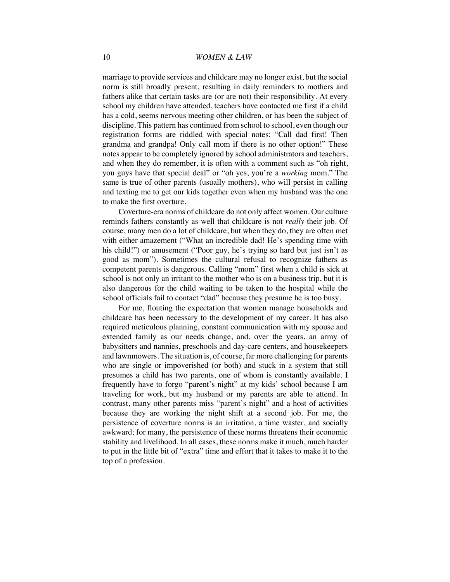marriage to provide services and childcare may no longer exist, but the social norm is still broadly present, resulting in daily reminders to mothers and fathers alike that certain tasks are (or are not) their responsibility. At every school my children have attended, teachers have contacted me first if a child has a cold, seems nervous meeting other children, or has been the subject of discipline. This pattern has continued from school to school, even though our registration forms are riddled with special notes: "Call dad first! Then grandma and grandpa! Only call mom if there is no other option!" These notes appear to be completely ignored by school administrators and teachers, and when they do remember, it is often with a comment such as "oh right, you guys have that special deal" or "oh yes, you're a *working* mom." The same is true of other parents (usually mothers), who will persist in calling and texting me to get our kids together even when my husband was the one to make the first overture.

Coverture-era norms of childcare do not only affect women. Our culture reminds fathers constantly as well that childcare is not *really* their job. Of course, many men do a lot of childcare, but when they do, they are often met with either amazement ("What an incredible dad! He's spending time with his child!") or amusement ("Poor guy, he's trying so hard but just isn't as good as mom"). Sometimes the cultural refusal to recognize fathers as competent parents is dangerous. Calling "mom" first when a child is sick at school is not only an irritant to the mother who is on a business trip, but it is also dangerous for the child waiting to be taken to the hospital while the school officials fail to contact "dad" because they presume he is too busy.

For me, flouting the expectation that women manage households and childcare has been necessary to the development of my career. It has also required meticulous planning, constant communication with my spouse and extended family as our needs change, and, over the years, an army of babysitters and nannies, preschools and day-care centers, and housekeepers and lawnmowers. The situation is, of course, far more challenging for parents who are single or impoverished (or both) and stuck in a system that still presumes a child has two parents, one of whom is constantly available. I frequently have to forgo "parent's night" at my kids' school because I am traveling for work, but my husband or my parents are able to attend. In contrast, many other parents miss "parent's night" and a host of activities because they are working the night shift at a second job. For me, the persistence of coverture norms is an irritation, a time waster, and socially awkward; for many, the persistence of these norms threatens their economic stability and livelihood. In all cases, these norms make it much, much harder to put in the little bit of "extra" time and effort that it takes to make it to the top of a profession.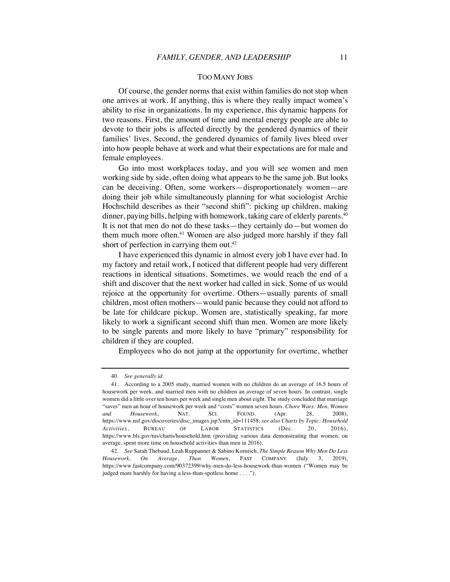#### TOO MANY JOBS

Of course, the gender norms that exist within families do not stop when one arrives at work. If anything, this is where they really impact women's ability to rise in organizations. In my experience, this dynamic happens for two reasons. First, the amount of time and mental energy people are able to devote to their jobs is affected directly by the gendered dynamics of their families' lives. Second, the gendered dynamics of family lives bleed over into how people behave at work and what their expectations are for male and female employees.

Go into most workplaces today, and you will see women and men working side by side, often doing what appears to be the same job. But looks can be deceiving. Often, some workers—disproportionately women—are doing their job while simultaneously planning for what sociologist Archie Hochschild describes as their "second shift": picking up children, making dinner, paying bills, helping with homework, taking care of elderly parents.<sup>40</sup> It is not that men do not do these tasks—they certainly do—but women do them much more often.<sup>41</sup> Women are also judged more harshly if they fall short of perfection in carrying them out.<sup>42</sup>

I have experienced this dynamic in almost every job I have ever had. In my factory and retail work, I noticed that different people had very different reactions in identical situations. Sometimes, we would reach the end of a shift and discover that the next worker had called in sick. Some of us would rejoice at the opportunity for overtime. Others—usually parents of small children, most often mothers—would panic because they could not afford to be late for childcare pickup. Women are, statistically speaking, far more likely to work a significant second shift than men. Women are more likely to be single parents and more likely to have "primary" responsibility for children if they are coupled.

Employees who do not jump at the opportunity for overtime, whether

<sup>40.</sup> *See generally id.*

<sup>41.</sup> According to a 2005 study, married women with no children do an average of 16.5 hours of housework per week, and married men with no children an average of seven hours. In contrast, single women did a little over ten hours per week and single men about eight. The study concluded that marriage "saves" men an hour of housework per week and "costs" women seven hours. *Chore Wars: Men, Women and Housework*, NAT. SCI. FOUND. (Apr. 28, 2008), https://www.nsf.gov/discoveries/disc\_images.jsp?cntn\_id=111458; *see also Charts by Topic: Household Activities*, BUREAU OF LABOR STATISTICS (Dec. 20, 2016), https://www.bls.gov/tus/charts/household.htm (providing various data demonstrating that women, on average, spent more time on household activities than men in 2016).

<sup>42.</sup> *See* Sarah Thebaud, Leah Ruppanner & Sabino Kornrich, *The Simple Reason Why Men Do Less Housework, On Average, Than Women*, FAST COMPANY (July 3, 2019), https://www.fastcompany.com/90372399/why-men-do-less-housework-than-women ("Women may be judged more harshly for having a less-than-spotless home . . . .").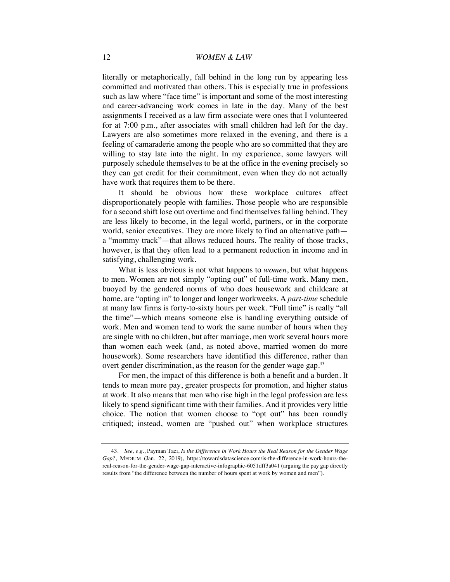literally or metaphorically, fall behind in the long run by appearing less committed and motivated than others. This is especially true in professions such as law where "face time" is important and some of the most interesting and career-advancing work comes in late in the day. Many of the best assignments I received as a law firm associate were ones that I volunteered for at 7:00 p.m., after associates with small children had left for the day. Lawyers are also sometimes more relaxed in the evening, and there is a feeling of camaraderie among the people who are so committed that they are willing to stay late into the night. In my experience, some lawyers will purposely schedule themselves to be at the office in the evening precisely so they can get credit for their commitment, even when they do not actually have work that requires them to be there.

It should be obvious how these workplace cultures affect disproportionately people with families. Those people who are responsible for a second shift lose out overtime and find themselves falling behind. They are less likely to become, in the legal world, partners, or in the corporate world, senior executives. They are more likely to find an alternative path a "mommy track"—that allows reduced hours. The reality of those tracks, however, is that they often lead to a permanent reduction in income and in satisfying, challenging work.

What is less obvious is not what happens to *women*, but what happens to men. Women are not simply "opting out" of full-time work. Many men, buoyed by the gendered norms of who does housework and childcare at home, are "opting in" to longer and longer workweeks. A *part-time* schedule at many law firms is forty-to-sixty hours per week. "Full time" is really "all the time"—which means someone else is handling everything outside of work. Men and women tend to work the same number of hours when they are single with no children, but after marriage, men work several hours more than women each week (and, as noted above, married women do more housework). Some researchers have identified this difference, rather than overt gender discrimination, as the reason for the gender wage gap.<sup>43</sup>

For men, the impact of this difference is both a benefit and a burden. It tends to mean more pay, greater prospects for promotion, and higher status at work. It also means that men who rise high in the legal profession are less likely to spend significant time with their families. And it provides very little choice. The notion that women choose to "opt out" has been roundly critiqued; instead, women are "pushed out" when workplace structures

<sup>43.</sup> *See, e.g.*, Payman Taei, *Is the Difference in Work Hours the Real Reason for the Gender Wage Gap?*, MEDIUM (Jan. 22, 2019), https://towardsdatascience.com/is-the-difference-in-work-hours-thereal-reason-for-the-gender-wage-gap-interactive-infographic-6051dff3a041 (arguing the pay gap directly results from "the difference between the number of hours spent at work by women and men").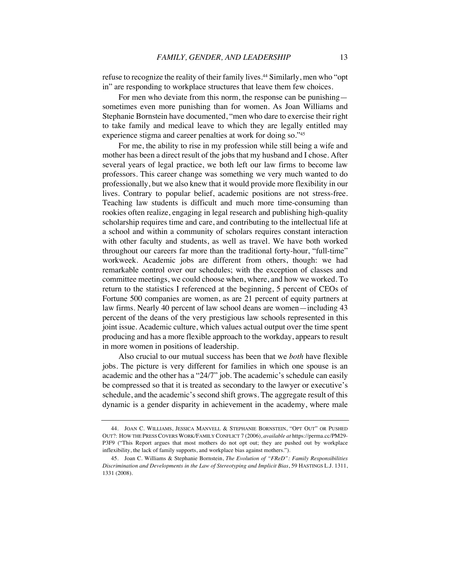refuse to recognize the reality of their family lives.<sup>44</sup> Similarly, men who "opt in" are responding to workplace structures that leave them few choices.

For men who deviate from this norm, the response can be punishing sometimes even more punishing than for women. As Joan Williams and Stephanie Bornstein have documented, "men who dare to exercise their right to take family and medical leave to which they are legally entitled may experience stigma and career penalties at work for doing so."45

For me, the ability to rise in my profession while still being a wife and mother has been a direct result of the jobs that my husband and I chose. After several years of legal practice, we both left our law firms to become law professors. This career change was something we very much wanted to do professionally, but we also knew that it would provide more flexibility in our lives. Contrary to popular belief, academic positions are not stress-free. Teaching law students is difficult and much more time-consuming than rookies often realize, engaging in legal research and publishing high-quality scholarship requires time and care, and contributing to the intellectual life at a school and within a community of scholars requires constant interaction with other faculty and students, as well as travel. We have both worked throughout our careers far more than the traditional forty-hour, "full-time" workweek. Academic jobs are different from others, though: we had remarkable control over our schedules; with the exception of classes and committee meetings, we could choose when, where, and how we worked. To return to the statistics I referenced at the beginning, 5 percent of CEOs of Fortune 500 companies are women, as are 21 percent of equity partners at law firms. Nearly 40 percent of law school deans are women—including 43 percent of the deans of the very prestigious law schools represented in this joint issue. Academic culture, which values actual output over the time spent producing and has a more flexible approach to the workday, appears to result in more women in positions of leadership.

Also crucial to our mutual success has been that we *both* have flexible jobs. The picture is very different for families in which one spouse is an academic and the other has a "24/7" job. The academic's schedule can easily be compressed so that it is treated as secondary to the lawyer or executive's schedule, and the academic's second shift grows. The aggregate result of this dynamic is a gender disparity in achievement in the academy, where male

<sup>44.</sup> JOAN C. WILLIAMS, JESSICA MANVELL & STEPHANIE BORNSTEIN, "OPT OUT" OR PUSHED OUT?: HOW THE PRESS COVERS WORK/FAMILY CONFLICT 7 (2006), *available at* https://perma.cc/PM29- P3F9 ("This Report argues that most mothers do not opt out; they are pushed out by workplace inflexibility, the lack of family supports, and workplace bias against mothers.").

<sup>45.</sup> Joan C. Williams & Stephanie Bornstein, *The Evolution of "FReD": Family Responsibilities Discrimination and Developments in the Law of Stereotyping and Implicit Bias*, 59 HASTINGS L.J. 1311, 1331 (2008).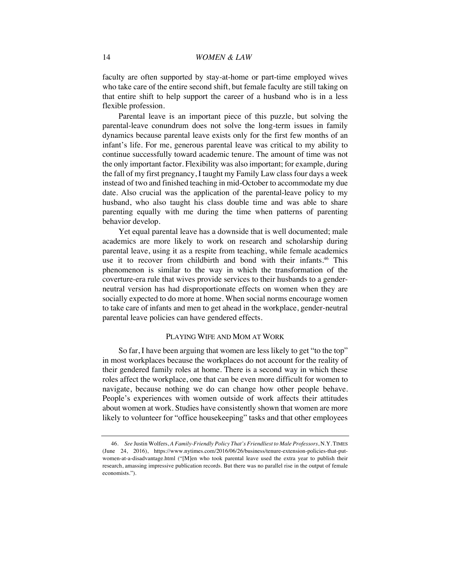faculty are often supported by stay-at-home or part-time employed wives who take care of the entire second shift, but female faculty are still taking on that entire shift to help support the career of a husband who is in a less flexible profession.

Parental leave is an important piece of this puzzle, but solving the parental-leave conundrum does not solve the long-term issues in family dynamics because parental leave exists only for the first few months of an infant's life. For me, generous parental leave was critical to my ability to continue successfully toward academic tenure. The amount of time was not the only important factor. Flexibility was also important; for example, during the fall of my first pregnancy, I taught my Family Law class four days a week instead of two and finished teaching in mid-October to accommodate my due date. Also crucial was the application of the parental-leave policy to my husband, who also taught his class double time and was able to share parenting equally with me during the time when patterns of parenting behavior develop.

Yet equal parental leave has a downside that is well documented; male academics are more likely to work on research and scholarship during parental leave, using it as a respite from teaching, while female academics use it to recover from childbirth and bond with their infants.<sup>46</sup> This phenomenon is similar to the way in which the transformation of the coverture-era rule that wives provide services to their husbands to a genderneutral version has had disproportionate effects on women when they are socially expected to do more at home. When social norms encourage women to take care of infants and men to get ahead in the workplace, gender-neutral parental leave policies can have gendered effects.

### PLAYING WIFE AND MOM AT WORK

So far, I have been arguing that women are less likely to get "to the top" in most workplaces because the workplaces do not account for the reality of their gendered family roles at home. There is a second way in which these roles affect the workplace, one that can be even more difficult for women to navigate, because nothing we do can change how other people behave. People's experiences with women outside of work affects their attitudes about women at work. Studies have consistently shown that women are more likely to volunteer for "office housekeeping" tasks and that other employees

<sup>46.</sup> *See* Justin Wolfers, *A Family-Friendly Policy That's Friendliest to Male Professors*, N.Y. TIMES (June 24, 2016), https://www.nytimes.com/2016/06/26/business/tenure-extension-policies-that-putwomen-at-a-disadvantage.html ("[M]en who took parental leave used the extra year to publish their research, amassing impressive publication records. But there was no parallel rise in the output of female economists.").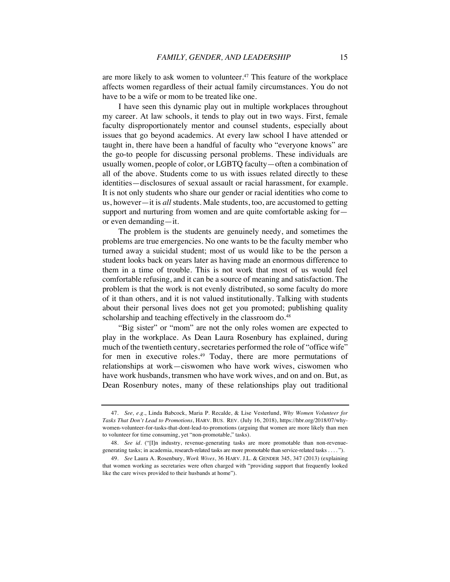are more likely to ask women to volunteer.<sup>47</sup> This feature of the workplace affects women regardless of their actual family circumstances. You do not have to be a wife or mom to be treated like one.

I have seen this dynamic play out in multiple workplaces throughout my career. At law schools, it tends to play out in two ways. First, female faculty disproportionately mentor and counsel students, especially about issues that go beyond academics. At every law school I have attended or taught in, there have been a handful of faculty who "everyone knows" are the go-to people for discussing personal problems. These individuals are usually women, people of color, or LGBTQ faculty—often a combination of all of the above. Students come to us with issues related directly to these identities—disclosures of sexual assault or racial harassment, for example. It is not only students who share our gender or racial identities who come to us, however—it is *all* students. Male students, too, are accustomed to getting support and nurturing from women and are quite comfortable asking for or even demanding—it.

The problem is the students are genuinely needy, and sometimes the problems are true emergencies. No one wants to be the faculty member who turned away a suicidal student; most of us would like to be the person a student looks back on years later as having made an enormous difference to them in a time of trouble. This is not work that most of us would feel comfortable refusing, and it can be a source of meaning and satisfaction. The problem is that the work is not evenly distributed, so some faculty do more of it than others, and it is not valued institutionally. Talking with students about their personal lives does not get you promoted; publishing quality scholarship and teaching effectively in the classroom do.<sup>48</sup>

"Big sister" or "mom" are not the only roles women are expected to play in the workplace. As Dean Laura Rosenbury has explained, during much of the twentieth century, secretaries performed the role of "office wife" for men in executive roles.<sup>49</sup> Today, there are more permutations of relationships at work—ciswomen who have work wives, ciswomen who have work husbands, transmen who have work wives, and on and on. But, as Dean Rosenbury notes, many of these relationships play out traditional

<sup>47.</sup> *See, e.g.*, Linda Babcock, Maria P. Recalde, & Lise Vesterlund, *Why Women Volunteer for Tasks That Don't Lead to Promotions*, HARV. BUS. REV. (July 16, 2018), https://hbr.org/2018/07/whywomen-volunteer-for-tasks-that-dont-lead-to-promotions (arguing that women are more likely than men to volunteer for time consuming, yet "non-promotable," tasks).

<sup>48.</sup> *See id.* ("[I]n industry, revenue-generating tasks are more promotable than non-revenuegenerating tasks; in academia, research-related tasks are more promotable than service-related tasks . . . . ").

<sup>49.</sup> *See* Laura A. Rosenbury, *Work Wives*, 36 HARV. J.L. & GENDER 345, 347 (2013) (explaining that women working as secretaries were often charged with "providing support that frequently looked like the care wives provided to their husbands at home").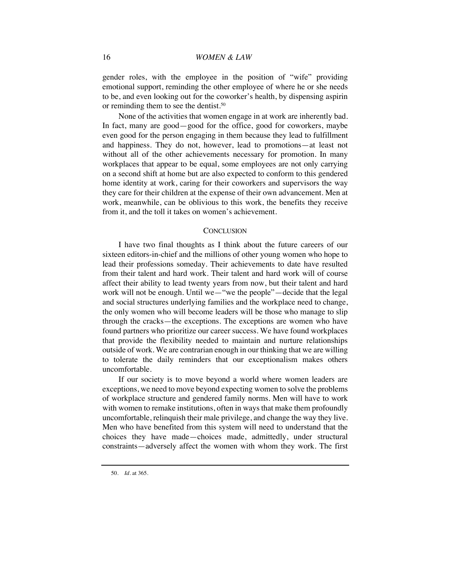gender roles, with the employee in the position of "wife" providing emotional support, reminding the other employee of where he or she needs to be, and even looking out for the coworker's health, by dispensing aspirin or reminding them to see the dentist.<sup>50</sup>

None of the activities that women engage in at work are inherently bad. In fact, many are good—good for the office, good for coworkers, maybe even good for the person engaging in them because they lead to fulfillment and happiness. They do not, however, lead to promotions—at least not without all of the other achievements necessary for promotion. In many workplaces that appear to be equal, some employees are not only carrying on a second shift at home but are also expected to conform to this gendered home identity at work, caring for their coworkers and supervisors the way they care for their children at the expense of their own advancement. Men at work, meanwhile, can be oblivious to this work, the benefits they receive from it, and the toll it takes on women's achievement.

### **CONCLUSION**

I have two final thoughts as I think about the future careers of our sixteen editors-in-chief and the millions of other young women who hope to lead their professions someday. Their achievements to date have resulted from their talent and hard work. Their talent and hard work will of course affect their ability to lead twenty years from now, but their talent and hard work will not be enough. Until we—"we the people"—decide that the legal and social structures underlying families and the workplace need to change, the only women who will become leaders will be those who manage to slip through the cracks—the exceptions. The exceptions are women who have found partners who prioritize our career success. We have found workplaces that provide the flexibility needed to maintain and nurture relationships outside of work. We are contrarian enough in our thinking that we are willing to tolerate the daily reminders that our exceptionalism makes others uncomfortable.

If our society is to move beyond a world where women leaders are exceptions, we need to move beyond expecting women to solve the problems of workplace structure and gendered family norms. Men will have to work with women to remake institutions, often in ways that make them profoundly uncomfortable, relinquish their male privilege, and change the way they live. Men who have benefited from this system will need to understand that the choices they have made—choices made, admittedly, under structural constraints—adversely affect the women with whom they work. The first

<sup>50.</sup> *Id.* at 365.